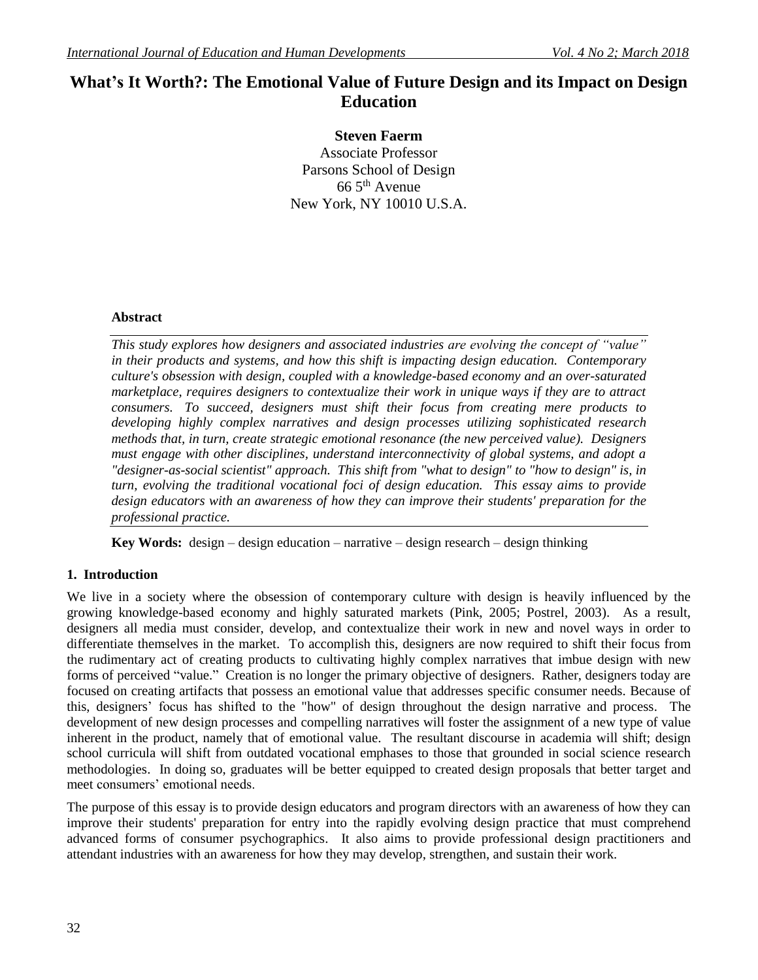# **What's It Worth?: The Emotional Value of Future Design and its Impact on Design Education**

**Steven Faerm** Associate Professor Parsons School of Design 66 5th Avenue New York, NY 10010 U.S.A.

#### **Abstract**

*This study explores how designers and associated industries are evolving the concept of "value" in their products and systems, and how this shift is impacting design education. Contemporary culture's obsession with design, coupled with a knowledge-based economy and an over-saturated marketplace, requires designers to contextualize their work in unique ways if they are to attract consumers. To succeed, designers must shift their focus from creating mere products to developing highly complex narratives and design processes utilizing sophisticated research methods that, in turn, create strategic emotional resonance (the new perceived value). Designers must engage with other disciplines, understand interconnectivity of global systems, and adopt a "designer-as-social scientist" approach. This shift from "what to design" to "how to design" is, in turn, evolving the traditional vocational foci of design education. This essay aims to provide design educators with an awareness of how they can improve their students' preparation for the professional practice.*

**Key Words:** design – design education – narrative – design research – design thinking

# **1. Introduction**

We live in a society where the obsession of contemporary culture with design is heavily influenced by the growing knowledge-based economy and highly saturated markets (Pink, 2005; Postrel, 2003). As a result, designers all media must consider, develop, and contextualize their work in new and novel ways in order to differentiate themselves in the market. To accomplish this, designers are now required to shift their focus from the rudimentary act of creating products to cultivating highly complex narratives that imbue design with new forms of perceived "value." Creation is no longer the primary objective of designers. Rather, designers today are focused on creating artifacts that possess an emotional value that addresses specific consumer needs. Because of this, designers' focus has shifted to the "how" of design throughout the design narrative and process. The development of new design processes and compelling narratives will foster the assignment of a new type of value inherent in the product, namely that of emotional value. The resultant discourse in academia will shift; design school curricula will shift from outdated vocational emphases to those that grounded in social science research methodologies. In doing so, graduates will be better equipped to created design proposals that better target and meet consumers' emotional needs.

The purpose of this essay is to provide design educators and program directors with an awareness of how they can improve their students' preparation for entry into the rapidly evolving design practice that must comprehend advanced forms of consumer psychographics. It also aims to provide professional design practitioners and attendant industries with an awareness for how they may develop, strengthen, and sustain their work.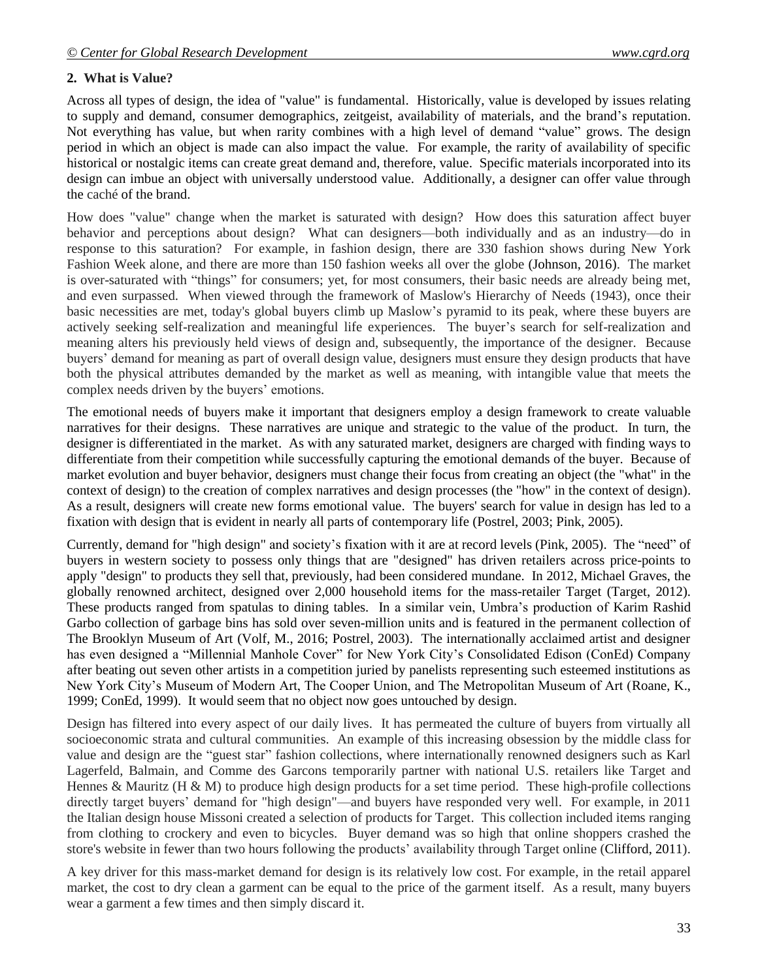### **2. What is Value?**

Across all types of design, the idea of "value" is fundamental. Historically, value is developed by issues relating to supply and demand, consumer demographics, zeitgeist, availability of materials, and the brand's reputation. Not everything has value, but when rarity combines with a high level of demand "value" grows. The design period in which an object is made can also impact the value. For example, the rarity of availability of specific historical or nostalgic items can create great demand and, therefore, value. Specific materials incorporated into its design can imbue an object with universally understood value. Additionally, a designer can offer value through the caché of the brand.

How does "value" change when the market is saturated with design? How does this saturation affect buyer behavior and perceptions about design? What can designers—both individually and as an industry—do in response to this saturation? For example, in fashion design, there are 330 fashion shows during New York Fashion Week alone, and there are more than 150 fashion weeks all over the globe (Johnson, 2016). The market is over-saturated with "things" for consumers; yet, for most consumers, their basic needs are already being met, and even surpassed. When viewed through the framework of Maslow's Hierarchy of Needs (1943), once their basic necessities are met, today's global buyers climb up Maslow's pyramid to its peak, where these buyers are actively seeking self-realization and meaningful life experiences. The buyer's search for self-realization and meaning alters his previously held views of design and, subsequently, the importance of the designer. Because buyers' demand for meaning as part of overall design value, designers must ensure they design products that have both the physical attributes demanded by the market as well as meaning, with intangible value that meets the complex needs driven by the buyers' emotions.

The emotional needs of buyers make it important that designers employ a design framework to create valuable narratives for their designs. These narratives are unique and strategic to the value of the product. In turn, the designer is differentiated in the market. As with any saturated market, designers are charged with finding ways to differentiate from their competition while successfully capturing the emotional demands of the buyer. Because of market evolution and buyer behavior, designers must change their focus from creating an object (the "what" in the context of design) to the creation of complex narratives and design processes (the "how" in the context of design). As a result, designers will create new forms emotional value. The buyers' search for value in design has led to a fixation with design that is evident in nearly all parts of contemporary life (Postrel, 2003; Pink, 2005).

Currently, demand for "high design" and society's fixation with it are at record levels (Pink, 2005). The "need" of buyers in western society to possess only things that are "designed" has driven retailers across price-points to apply "design" to products they sell that, previously, had been considered mundane. In 2012, Michael Graves, the globally renowned architect, designed over 2,000 household items for the mass-retailer Target (Target, 2012). These products ranged from spatulas to dining tables. In a similar vein, Umbra's production of Karim Rashid Garbo collection of garbage bins has sold over seven-million units and is featured in the permanent collection of The Brooklyn Museum of Art (Volf, M., 2016; Postrel, 2003). The internationally acclaimed artist and designer has even designed a "Millennial Manhole Cover" for New York City's Consolidated Edison (ConEd) Company after beating out seven other artists in a competition juried by panelists representing such esteemed institutions as New York City's Museum of Modern Art, The Cooper Union, and The Metropolitan Museum of Art (Roane, K., 1999; ConEd, 1999). It would seem that no object now goes untouched by design.

Design has filtered into every aspect of our daily lives. It has permeated the culture of buyers from virtually all socioeconomic strata and cultural communities. An example of this increasing obsession by the middle class for value and design are the "guest star" fashion collections, where internationally renowned designers such as Karl Lagerfeld, Balmain, and Comme des Garcons temporarily partner with national U.S. retailers like Target and Hennes & Mauritz (H & M) to produce high design products for a set time period. These high-profile collections directly target buyers' demand for "high design"—and buyers have responded very well. For example, in 2011 the Italian design house Missoni created a selection of products for Target. This collection included items ranging from clothing to crockery and even to bicycles. Buyer demand was so high that online shoppers crashed the store's website in fewer than two hours following the products' availability through Target online (Clifford, 2011).

A key driver for this mass-market demand for design is its relatively low cost. For example, in the retail apparel market, the cost to dry clean a garment can be equal to the price of the garment itself. As a result, many buyers wear a garment a few times and then simply discard it.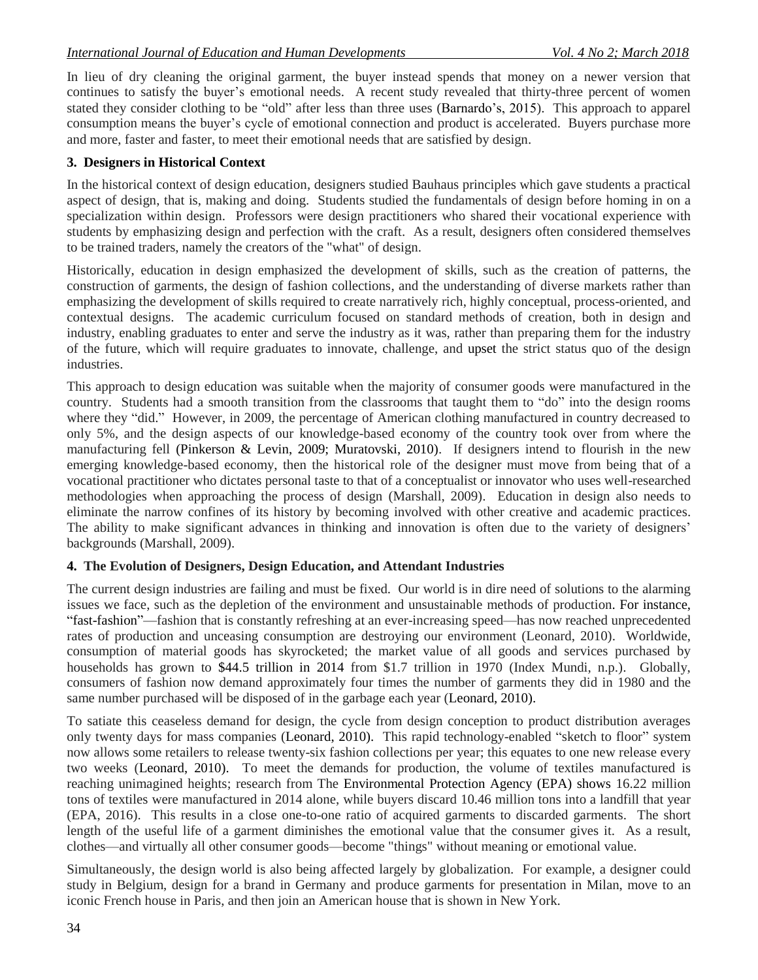In lieu of dry cleaning the original garment, the buyer instead spends that money on a newer version that continues to satisfy the buyer's emotional needs. A recent study revealed that thirty-three percent of women stated they consider clothing to be "old" after less than three uses (Barnardo's, 2015). This approach to apparel consumption means the buyer's cycle of emotional connection and product is accelerated. Buyers purchase more and more, faster and faster, to meet their emotional needs that are satisfied by design.

# **3. Designers in Historical Context**

In the historical context of design education, designers studied Bauhaus principles which gave students a practical aspect of design, that is, making and doing. Students studied the fundamentals of design before homing in on a specialization within design. Professors were design practitioners who shared their vocational experience with students by emphasizing design and perfection with the craft. As a result, designers often considered themselves to be trained traders, namely the creators of the "what" of design.

Historically, education in design emphasized the development of skills, such as the creation of patterns, the construction of garments, the design of fashion collections, and the understanding of diverse markets rather than emphasizing the development of skills required to create narratively rich, highly conceptual, process-oriented, and contextual designs. The academic curriculum focused on standard methods of creation, both in design and industry, enabling graduates to enter and serve the industry as it was, rather than preparing them for the industry of the future, which will require graduates to innovate, challenge, and upset the strict status quo of the design industries.

This approach to design education was suitable when the majority of consumer goods were manufactured in the country. Students had a smooth transition from the classrooms that taught them to "do" into the design rooms where they "did." However, in 2009, the percentage of American clothing manufactured in country decreased to only 5%, and the design aspects of our knowledge-based economy of the country took over from where the manufacturing fell (Pinkerson & Levin, 2009; Muratovski, 2010). If designers intend to flourish in the new emerging knowledge-based economy, then the historical role of the designer must move from being that of a vocational practitioner who dictates personal taste to that of a conceptualist or innovator who uses well-researched methodologies when approaching the process of design (Marshall, 2009). Education in design also needs to eliminate the narrow confines of its history by becoming involved with other creative and academic practices. The ability to make significant advances in thinking and innovation is often due to the variety of designers' backgrounds (Marshall, 2009).

# **4. The Evolution of Designers, Design Education, and Attendant Industries**

The current design industries are failing and must be fixed. Our world is in dire need of solutions to the alarming issues we face, such as the depletion of the environment and unsustainable methods of production. For instance, "fast-fashion"—fashion that is constantly refreshing at an ever-increasing speed—has now reached unprecedented rates of production and unceasing consumption are destroying our environment (Leonard, 2010). Worldwide, consumption of material goods has skyrocketed; the market value of all goods and services purchased by households has grown to \$44.5 trillion in 2014 from \$1.7 trillion in 1970 (Index Mundi, n.p.). Globally, consumers of fashion now demand approximately four times the number of garments they did in 1980 and the same number purchased will be disposed of in the garbage each year (Leonard, 2010).

To satiate this ceaseless demand for design, the cycle from design conception to product distribution averages only twenty days for mass companies (Leonard, 2010). This rapid technology-enabled "sketch to floor" system now allows some retailers to release twenty-six fashion collections per year; this equates to one new release every two weeks (Leonard, 2010). To meet the demands for production, the volume of textiles manufactured is reaching unimagined heights; research from The Environmental Protection Agency (EPA) shows 16.22 million tons of textiles were manufactured in 2014 alone, while buyers discard 10.46 million tons into a landfill that year (EPA, 2016). This results in a close one-to-one ratio of acquired garments to discarded garments. The short length of the useful life of a garment diminishes the emotional value that the consumer gives it. As a result, clothes—and virtually all other consumer goods—become "things" without meaning or emotional value.

Simultaneously, the design world is also being affected largely by globalization. For example, a designer could study in Belgium, design for a brand in Germany and produce garments for presentation in Milan, move to an iconic French house in Paris, and then join an American house that is shown in New York.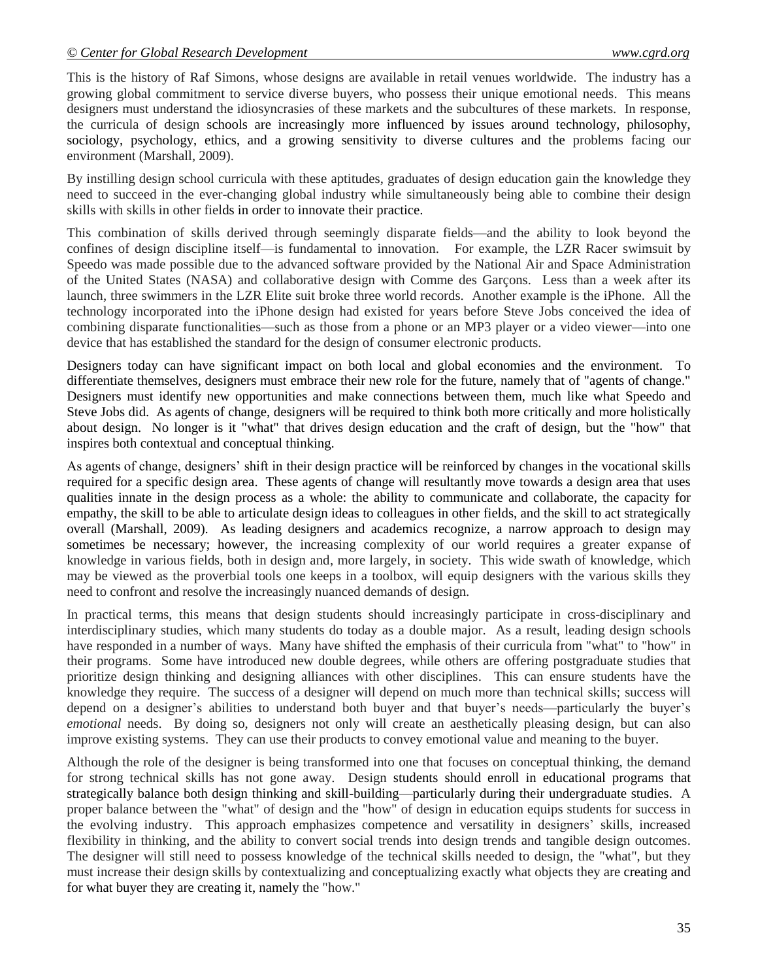This is the history of Raf Simons, whose designs are available in retail venues worldwide. The industry has a growing global commitment to service diverse buyers, who possess their unique emotional needs. This means designers must understand the idiosyncrasies of these markets and the subcultures of these markets. In response, the curricula of design schools are increasingly more influenced by issues around technology, philosophy, sociology, psychology, ethics, and a growing sensitivity to diverse cultures and the problems facing our environment (Marshall, 2009).

By instilling design school curricula with these aptitudes, graduates of design education gain the knowledge they need to succeed in the ever-changing global industry while simultaneously being able to combine their design skills with skills in other fields in order to innovate their practice.

This combination of skills derived through seemingly disparate fields—and the ability to look beyond the confines of design discipline itself—is fundamental to innovation. For example, the LZR Racer swimsuit by Speedo was made possible due to the advanced software provided by the National Air and Space Administration of the United States (NASA) and collaborative design with Comme des Garçons. Less than a week after its launch, three swimmers in the LZR Elite suit broke three world records. Another example is the iPhone. All the technology incorporated into the iPhone design had existed for years before Steve Jobs conceived the idea of combining disparate functionalities—such as those from a phone or an MP3 player or a video viewer—into one device that has established the standard for the design of consumer electronic products.

Designers today can have significant impact on both local and global economies and the environment. To differentiate themselves, designers must embrace their new role for the future, namely that of "agents of change." Designers must identify new opportunities and make connections between them, much like what Speedo and Steve Jobs did. As agents of change, designers will be required to think both more critically and more holistically about design. No longer is it "what" that drives design education and the craft of design, but the "how" that inspires both contextual and conceptual thinking.

As agents of change, designers' shift in their design practice will be reinforced by changes in the vocational skills required for a specific design area. These agents of change will resultantly move towards a design area that uses qualities innate in the design process as a whole: the ability to communicate and collaborate, the capacity for empathy, the skill to be able to articulate design ideas to colleagues in other fields, and the skill to act strategically overall (Marshall, 2009). As leading designers and academics recognize, a narrow approach to design may sometimes be necessary; however, the increasing complexity of our world requires a greater expanse of knowledge in various fields, both in design and, more largely, in society. This wide swath of knowledge, which may be viewed as the proverbial tools one keeps in a toolbox, will equip designers with the various skills they need to confront and resolve the increasingly nuanced demands of design.

In practical terms, this means that design students should increasingly participate in cross-disciplinary and interdisciplinary studies, which many students do today as a double major. As a result, leading design schools have responded in a number of ways. Many have shifted the emphasis of their curricula from "what" to "how" in their programs. Some have introduced new double degrees, while others are offering postgraduate studies that prioritize design thinking and designing alliances with other disciplines. This can ensure students have the knowledge they require. The success of a designer will depend on much more than technical skills; success will depend on a designer's abilities to understand both buyer and that buyer's needs—particularly the buyer's *emotional* needs. By doing so, designers not only will create an aesthetically pleasing design, but can also improve existing systems. They can use their products to convey emotional value and meaning to the buyer.

Although the role of the designer is being transformed into one that focuses on conceptual thinking, the demand for strong technical skills has not gone away. Design students should enroll in educational programs that strategically balance both design thinking and skill-building—particularly during their undergraduate studies. A proper balance between the "what" of design and the "how" of design in education equips students for success in the evolving industry. This approach emphasizes competence and versatility in designers' skills, increased flexibility in thinking, and the ability to convert social trends into design trends and tangible design outcomes. The designer will still need to possess knowledge of the technical skills needed to design, the "what", but they must increase their design skills by contextualizing and conceptualizing exactly what objects they are creating and for what buyer they are creating it, namely the "how."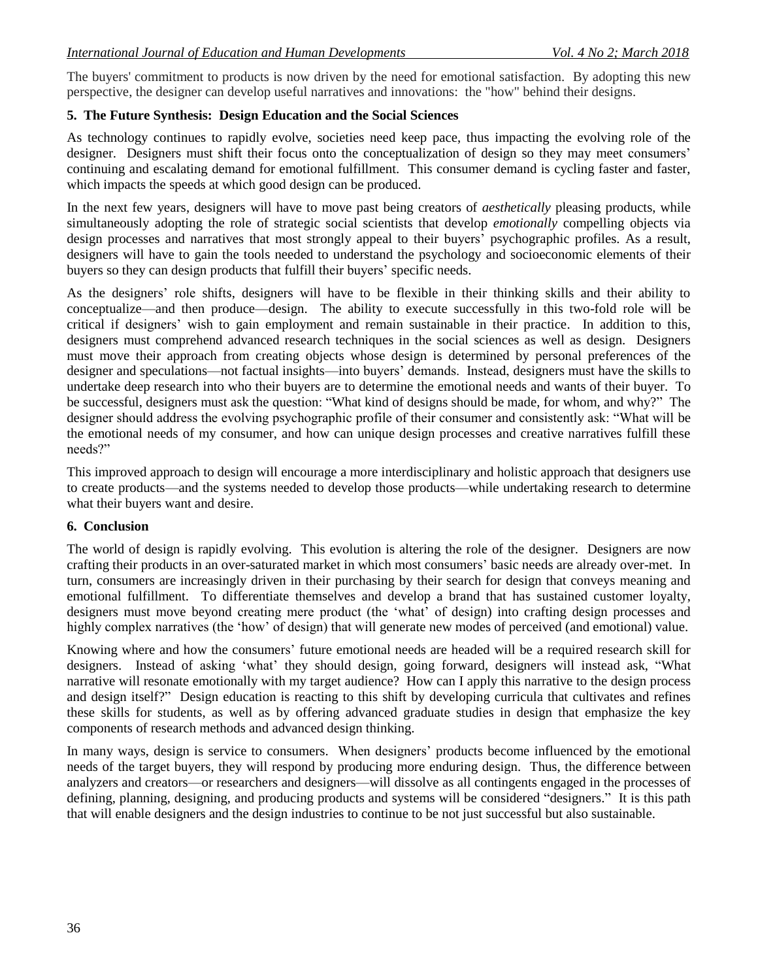The buyers' commitment to products is now driven by the need for emotional satisfaction. By adopting this new perspective, the designer can develop useful narratives and innovations: the "how" behind their designs.

# **5. The Future Synthesis: Design Education and the Social Sciences**

As technology continues to rapidly evolve, societies need keep pace, thus impacting the evolving role of the designer. Designers must shift their focus onto the conceptualization of design so they may meet consumers' continuing and escalating demand for emotional fulfillment. This consumer demand is cycling faster and faster, which impacts the speeds at which good design can be produced.

In the next few years, designers will have to move past being creators of *aesthetically* pleasing products, while simultaneously adopting the role of strategic social scientists that develop *emotionally* compelling objects via design processes and narratives that most strongly appeal to their buyers' psychographic profiles. As a result, designers will have to gain the tools needed to understand the psychology and socioeconomic elements of their buyers so they can design products that fulfill their buyers' specific needs.

As the designers' role shifts, designers will have to be flexible in their thinking skills and their ability to conceptualize—and then produce—design. The ability to execute successfully in this two-fold role will be critical if designers' wish to gain employment and remain sustainable in their practice. In addition to this, designers must comprehend advanced research techniques in the social sciences as well as design. Designers must move their approach from creating objects whose design is determined by personal preferences of the designer and speculations—not factual insights—into buyers' demands. Instead, designers must have the skills to undertake deep research into who their buyers are to determine the emotional needs and wants of their buyer. To be successful, designers must ask the question: "What kind of designs should be made, for whom, and why?" The designer should address the evolving psychographic profile of their consumer and consistently ask: "What will be the emotional needs of my consumer, and how can unique design processes and creative narratives fulfill these needs?"

This improved approach to design will encourage a more interdisciplinary and holistic approach that designers use to create products—and the systems needed to develop those products—while undertaking research to determine what their buyers want and desire.

# **6. Conclusion**

The world of design is rapidly evolving. This evolution is altering the role of the designer. Designers are now crafting their products in an over-saturated market in which most consumers' basic needs are already over-met. In turn, consumers are increasingly driven in their purchasing by their search for design that conveys meaning and emotional fulfillment. To differentiate themselves and develop a brand that has sustained customer loyalty, designers must move beyond creating mere product (the 'what' of design) into crafting design processes and highly complex narratives (the 'how' of design) that will generate new modes of perceived (and emotional) value.

Knowing where and how the consumers' future emotional needs are headed will be a required research skill for designers. Instead of asking 'what' they should design, going forward, designers will instead ask, "What narrative will resonate emotionally with my target audience? How can I apply this narrative to the design process and design itself?" Design education is reacting to this shift by developing curricula that cultivates and refines these skills for students, as well as by offering advanced graduate studies in design that emphasize the key components of research methods and advanced design thinking.

In many ways, design is service to consumers. When designers' products become influenced by the emotional needs of the target buyers, they will respond by producing more enduring design. Thus, the difference between analyzers and creators—or researchers and designers—will dissolve as all contingents engaged in the processes of defining, planning, designing, and producing products and systems will be considered "designers." It is this path that will enable designers and the design industries to continue to be not just successful but also sustainable.